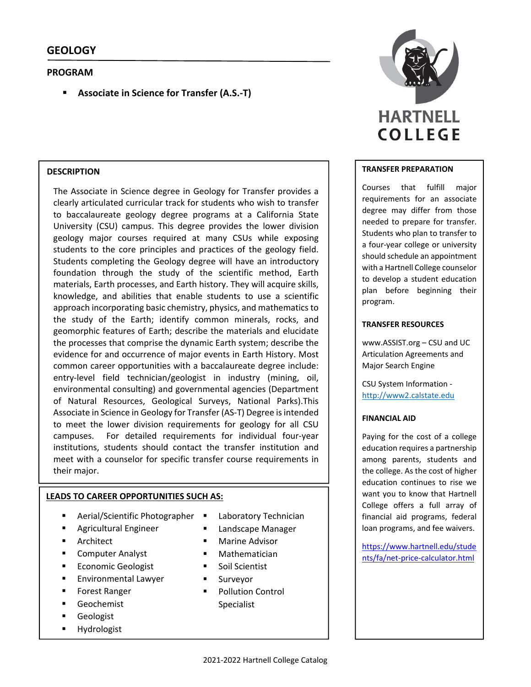# **PROGRAM**

**Associate in Science for Transfer (A.S.‐T)**

## **DESCRIPTION**

The Associate in Science degree in Geology for Transfer provides a clearly articulated curricular track for students who wish to transfer to baccalaureate geology degree programs at a California State University (CSU) campus. This degree provides the lower division geology major courses required at many CSUs while exposing students to the core principles and practices of the geology field. Students completing the Geology degree will have an introductory foundation through the study of the scientific method, Earth materials, Earth processes, and Earth history. They will acquire skills, knowledge, and abilities that enable students to use a scientific approach incorporating basic chemistry, physics, and mathematics to the study of the Earth; identify common minerals, rocks, and geomorphic features of Earth; describe the materials and elucidate the processes that comprise the dynamic Earth system; describe the evidence for and occurrence of major events in Earth History. Most common career opportunities with a baccalaureate degree include: entry-level field technician/geologist in industry (mining, oil, environmental consulting) and governmental agencies (Department of Natural Resources, Geological Surveys, National Parks).This Associate in Science in Geology for Transfer (AS-T) Degree is intended to meet the lower division requirements for geology for all CSU campuses. For detailed requirements for individual four-year institutions, students should contact the transfer institution and meet with a counselor for specific transfer course requirements in their major.

# **LEADS TO CAREER OPPORTUNITIES SUCH AS:**

- Aerial/Scientific Photographer
- Agricultural Engineer
- Architect
- **E** Computer Analyst
- Economic Geologist
- Environmental Lawyer
- Forest Ranger
- **Geochemist**
- **Geologist**
- **Hydrologist**
- Laboratory Technician
- **Eandscape Manager**
- Marine Advisor
- **Mathematician**
- Soil Scientist
- **Surveyor**
- Pollution Control Specialist



### **TRANSFER PREPARATION**

Courses that fulfill major requirements for an associate degree may differ from those needed to prepare for transfer. Students who plan to transfer to a four‐year college or university should schedule an appointment with a Hartnell College counselor to develop a student education plan before beginning their program.

## **TRANSFER RESOURCES**

www.ASSIST.org – CSU and UC Articulation Agreements and Major Search Engine

CSU System Information ‐ http://www2.calstate.edu

#### **FINANCIAL AID**

Paying for the cost of a college education requires a partnership among parents, students and the college. As the cost of higher education continues to rise we want you to know that Hartnell College offers a full array of financial aid programs, federal loan programs, and fee waivers.

https://www.hartnell.edu/stude nts/fa/net‐price‐calculator.html